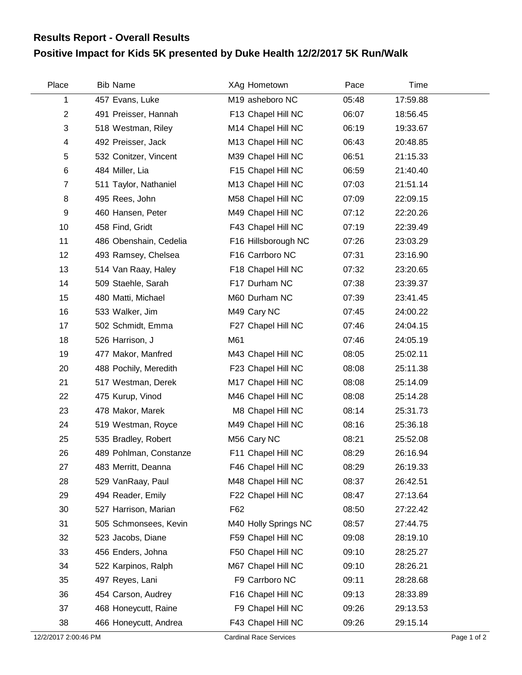## **Positive Impact for Kids 5K presented by Duke Health 12/2/2017 5K Run/Walk Results Report - Overall Results**

| Place          | <b>Bib Name</b>        | XAg Hometown         | Pace  | Time     |  |
|----------------|------------------------|----------------------|-------|----------|--|
| 1              | 457 Evans, Luke        | M19 asheboro NC      | 05:48 | 17:59.88 |  |
| $\overline{2}$ | 491 Preisser, Hannah   | F13 Chapel Hill NC   | 06:07 | 18:56.45 |  |
| 3              | 518 Westman, Riley     | M14 Chapel Hill NC   | 06:19 | 19:33.67 |  |
| 4              | 492 Preisser, Jack     | M13 Chapel Hill NC   | 06:43 | 20:48.85 |  |
| 5              | 532 Conitzer, Vincent  | M39 Chapel Hill NC   | 06:51 | 21:15.33 |  |
| 6              | 484 Miller, Lia        | F15 Chapel Hill NC   | 06:59 | 21:40.40 |  |
| $\overline{7}$ | 511 Taylor, Nathaniel  | M13 Chapel Hill NC   | 07:03 | 21:51.14 |  |
| 8              | 495 Rees, John         | M58 Chapel Hill NC   | 07:09 | 22:09.15 |  |
| 9              | 460 Hansen, Peter      | M49 Chapel Hill NC   | 07:12 | 22:20.26 |  |
| 10             | 458 Find, Gridt        | F43 Chapel Hill NC   | 07:19 | 22:39.49 |  |
| 11             | 486 Obenshain, Cedelia | F16 Hillsborough NC  | 07:26 | 23:03.29 |  |
| 12             | 493 Ramsey, Chelsea    | F16 Carrboro NC      | 07:31 | 23:16.90 |  |
| 13             | 514 Van Raay, Haley    | F18 Chapel Hill NC   | 07:32 | 23:20.65 |  |
| 14             | 509 Staehle, Sarah     | F17 Durham NC        | 07:38 | 23:39.37 |  |
| 15             | 480 Matti, Michael     | M60 Durham NC        | 07:39 | 23:41.45 |  |
| 16             | 533 Walker, Jim        | M49 Cary NC          | 07:45 | 24:00.22 |  |
| 17             | 502 Schmidt, Emma      | F27 Chapel Hill NC   | 07:46 | 24:04.15 |  |
| 18             | 526 Harrison, J        | M61                  | 07:46 | 24:05.19 |  |
| 19             | 477 Makor, Manfred     | M43 Chapel Hill NC   | 08:05 | 25:02.11 |  |
| 20             | 488 Pochily, Meredith  | F23 Chapel Hill NC   | 08:08 | 25:11.38 |  |
| 21             | 517 Westman, Derek     | M17 Chapel Hill NC   | 08:08 | 25:14.09 |  |
| 22             | 475 Kurup, Vinod       | M46 Chapel Hill NC   | 08:08 | 25:14.28 |  |
| 23             | 478 Makor, Marek       | M8 Chapel Hill NC    | 08:14 | 25:31.73 |  |
| 24             | 519 Westman, Royce     | M49 Chapel Hill NC   | 08:16 | 25:36.18 |  |
| 25             | 535 Bradley, Robert    | M56 Cary NC          | 08:21 | 25:52.08 |  |
| 26             | 489 Pohlman, Constanze | F11 Chapel Hill NC   | 08:29 | 26:16.94 |  |
| 27             | 483 Merritt, Deanna    | F46 Chapel Hill NC   | 08:29 | 26:19.33 |  |
| 28             | 529 VanRaay, Paul      | M48 Chapel Hill NC   | 08:37 | 26:42.51 |  |
| 29             | 494 Reader, Emily      | F22 Chapel Hill NC   | 08:47 | 27:13.64 |  |
| 30             | 527 Harrison, Marian   | F62                  | 08:50 | 27:22.42 |  |
| 31             | 505 Schmonsees, Kevin  | M40 Holly Springs NC | 08:57 | 27:44.75 |  |
| 32             | 523 Jacobs, Diane      | F59 Chapel Hill NC   | 09:08 | 28:19.10 |  |
| 33             | 456 Enders, Johna      | F50 Chapel Hill NC   | 09:10 | 28:25.27 |  |
| 34             | 522 Karpinos, Ralph    | M67 Chapel Hill NC   | 09:10 | 28:26.21 |  |
| 35             | 497 Reyes, Lani        | F9 Carrboro NC       | 09:11 | 28:28.68 |  |
| 36             | 454 Carson, Audrey     | F16 Chapel Hill NC   | 09:13 | 28:33.89 |  |
| 37             | 468 Honeycutt, Raine   | F9 Chapel Hill NC    | 09:26 | 29:13.53 |  |
| 38             | 466 Honeycutt, Andrea  | F43 Chapel Hill NC   | 09:26 | 29:15.14 |  |

Ĺ